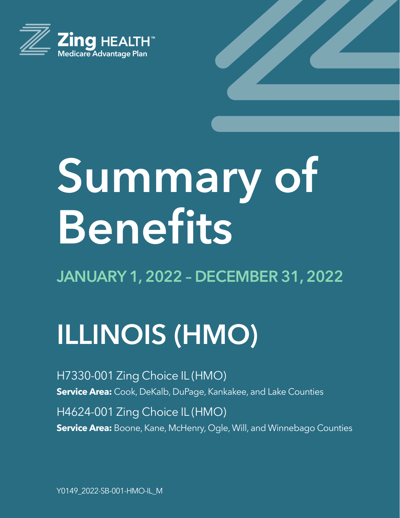

# **Summary of Benefits**

**JANUARY 1, 2022 – DECEMBER 31, 2022**

# **ILLINOIS (HMO)**

H7330-001 Zing Choice IL (HMO) **Service Area:** Cook, DeKalb, DuPage, Kankakee, and Lake Counties H4624-001 Zing Choice IL (HMO)

**Service Area:** Boone, Kane, McHenry, Ogle, Will, and Winnebago Counties

Y0149\_2022-SB-001-HMO-IL\_M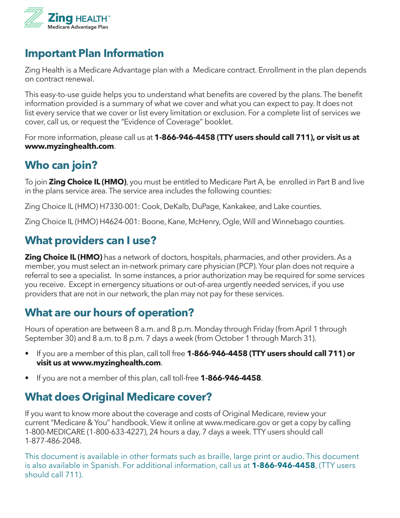

#### **Important Plan Information**

Zing Health is a Medicare Advantage plan with a Medicare contract. Enrollment in the plan depends on contract renewal.

This easy-to-use guide helps you to understand what benefits are covered by the plans. The benefit information provided is a summary of what we cover and what you can expect to pay. It does not list every service that we cover or list every limitation or exclusion. For a complete list of services we cover, call us, or request the "Evidence of Coverage" booklet.

For more information, please call us at **1-866-946-4458 (TTY users should call 711), or visit us at www.myzinghealth.com**.

#### **Who can join?**

To join **Zing Choice IL (HMO)**, you must be entitled to Medicare Part A, be enrolled in Part B and live in the plans service area. The service area includes the following counties:

Zing Choice IL (HMO) H7330-001: Cook, DeKalb, DuPage, Kankakee, and Lake counties.

Zing Choice IL (HMO) H4624-001: Boone, Kane, McHenry, Ogle, Will and Winnebago counties.

## **What providers can I use?**

**Zing Choice IL (HMO)** has a network of doctors, hospitals, pharmacies, and other providers. As a member, you must select an in-network primary care physician (PCP). Your plan does not require a referral to see a specialist. In some instances, a prior authorization may be required for some services you receive. Except in emergency situations or out-of-area urgently needed services, if you use providers that are not in our network, the plan may not pay for these services.

#### **What are our hours of operation?**

Hours of operation are between 8 a.m. and 8 p.m. Monday through Friday (from April 1 through September 30) and 8 a.m. to 8 p.m. 7 days a week (from October 1 through March 31).

- If you are a member of this plan, call toll free **1-866-946-4458 (TTY users should call 711) or visit us at www.myzinghealth.com**.
- If you are not a member of this plan, call toll-free **1-866-946-4458**.

#### **What does Original Medicare cover?**

If you want to know more about the coverage and costs of Original Medicare, review your current "Medicare & You" handbook. View it online at www.medicare.gov or get a copy by calling 1-800-MEDICARE (1-800-633-4227), 24 hours a day, 7 days a week. TTY users should call 1-877-486-2048.

This document is available in other formats such as braille, large print or audio. This document is also available in Spanish. For additional information, call us at **1-866-946-4458**, (TTY users should call 711).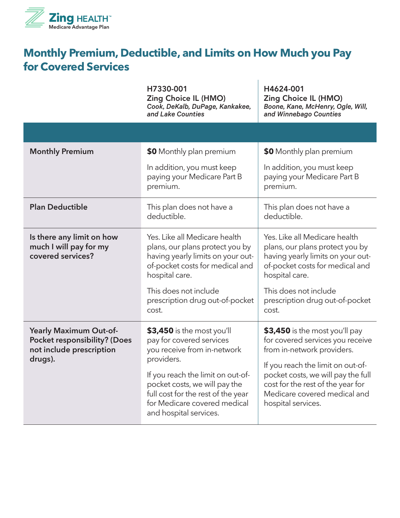

#### **Monthly Premium, Deductible, and Limits on How Much you Pay for Covered Services**

|                                                                                                             | H7330-001<br><b>Zing Choice IL (HMO)</b><br>Cook, DeKalb, DuPage, Kankakee,<br>and Lake Counties                                                                                                                                                                          | H4624-001<br><b>Zing Choice IL (HMO)</b><br>Boone, Kane, McHenry, Ogle, Will,<br>and Winnebago Counties                                                                                                                                                                |  |
|-------------------------------------------------------------------------------------------------------------|---------------------------------------------------------------------------------------------------------------------------------------------------------------------------------------------------------------------------------------------------------------------------|------------------------------------------------------------------------------------------------------------------------------------------------------------------------------------------------------------------------------------------------------------------------|--|
|                                                                                                             |                                                                                                                                                                                                                                                                           |                                                                                                                                                                                                                                                                        |  |
| <b>Monthly Premium</b>                                                                                      | \$0 Monthly plan premium                                                                                                                                                                                                                                                  | \$0 Monthly plan premium                                                                                                                                                                                                                                               |  |
|                                                                                                             | In addition, you must keep<br>paying your Medicare Part B<br>premium.                                                                                                                                                                                                     | In addition, you must keep<br>paying your Medicare Part B<br>premium.                                                                                                                                                                                                  |  |
| <b>Plan Deductible</b>                                                                                      | This plan does not have a<br>deductible.                                                                                                                                                                                                                                  | This plan does not have a<br>deductible.                                                                                                                                                                                                                               |  |
| Is there any limit on how<br>much I will pay for my<br>covered services?                                    | Yes. Like all Medicare health<br>plans, our plans protect you by<br>having yearly limits on your out-<br>of-pocket costs for medical and<br>hospital care.                                                                                                                | Yes. Like all Medicare health<br>plans, our plans protect you by<br>having yearly limits on your out-<br>of-pocket costs for medical and<br>hospital care.                                                                                                             |  |
|                                                                                                             | This does not include<br>prescription drug out-of-pocket<br>cost.                                                                                                                                                                                                         | This does not include<br>prescription drug out-of-pocket<br>cost.                                                                                                                                                                                                      |  |
| <b>Yearly Maximum Out-of-</b><br><b>Pocket responsibility? (Does</b><br>not include prescription<br>drugs). | \$3,450 is the most you'll<br>pay for covered services<br>you receive from in-network<br>providers.<br>If you reach the limit on out-of-<br>pocket costs, we will pay the<br>full cost for the rest of the year<br>for Medicare covered medical<br>and hospital services. | \$3,450 is the most you'll pay<br>for covered services you receive<br>from in-network providers.<br>If you reach the limit on out-of-<br>pocket costs, we will pay the full<br>cost for the rest of the year for<br>Medicare covered medical and<br>hospital services. |  |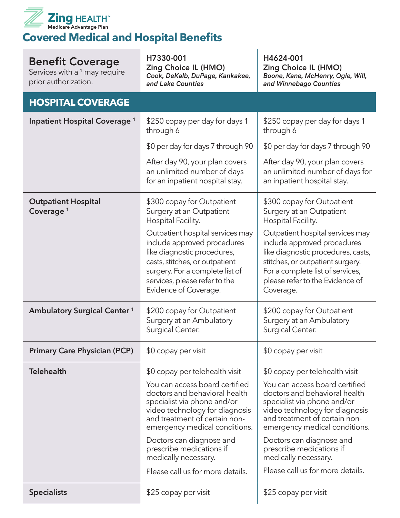

**Covered Medical and Hospital Benefits**

| <b>Benefit Coverage</b><br>Services with a <sup>1</sup> may require<br>prior authorization. | H7330-001<br><b>Zing Choice IL (HMO)</b><br>Cook, DeKalb, DuPage, Kankakee,<br>and Lake Counties                                                                                                                                                                                                                                                         | H4624-001<br><b>Zing Choice IL (HMO)</b><br>Boone, Kane, McHenry, Ogle, Will,<br>and Winnebago Counties                                                                                                                                                                                                                                                  |  |
|---------------------------------------------------------------------------------------------|----------------------------------------------------------------------------------------------------------------------------------------------------------------------------------------------------------------------------------------------------------------------------------------------------------------------------------------------------------|----------------------------------------------------------------------------------------------------------------------------------------------------------------------------------------------------------------------------------------------------------------------------------------------------------------------------------------------------------|--|
| <b>HOSPITAL COVERAGE</b>                                                                    |                                                                                                                                                                                                                                                                                                                                                          |                                                                                                                                                                                                                                                                                                                                                          |  |
| Inpatient Hospital Coverage <sup>1</sup>                                                    | \$250 copay per day for days 1<br>through 6                                                                                                                                                                                                                                                                                                              | \$250 copay per day for days 1<br>through 6                                                                                                                                                                                                                                                                                                              |  |
|                                                                                             | \$0 per day for days 7 through 90                                                                                                                                                                                                                                                                                                                        | \$0 per day for days 7 through 90                                                                                                                                                                                                                                                                                                                        |  |
|                                                                                             | After day 90, your plan covers<br>an unlimited number of days<br>for an inpatient hospital stay.                                                                                                                                                                                                                                                         | After day 90, your plan covers<br>an unlimited number of days for<br>an inpatient hospital stay.                                                                                                                                                                                                                                                         |  |
| <b>Outpatient Hospital</b><br>Coverage <sup>1</sup>                                         | \$300 copay for Outpatient<br>Surgery at an Outpatient<br>Hospital Facility.                                                                                                                                                                                                                                                                             | \$300 copay for Outpatient<br>Surgery at an Outpatient<br>Hospital Facility.                                                                                                                                                                                                                                                                             |  |
|                                                                                             | Outpatient hospital services may<br>include approved procedures<br>like diagnostic procedures,<br>casts, stitches, or outpatient<br>surgery. For a complete list of<br>services, please refer to the<br>Evidence of Coverage.                                                                                                                            | Outpatient hospital services may<br>include approved procedures<br>like diagnostic procedures, casts,<br>stitches, or outpatient surgery.<br>For a complete list of services,<br>please refer to the Evidence of<br>Coverage.                                                                                                                            |  |
| <b>Ambulatory Surgical Center 1</b>                                                         | \$200 copay for Outpatient<br>Surgery at an Ambulatory<br>Surgical Center.                                                                                                                                                                                                                                                                               | \$200 copay for Outpatient<br>Surgery at an Ambulatory<br>Surgical Center.                                                                                                                                                                                                                                                                               |  |
| <b>Primary Care Physician (PCP)</b>                                                         | \$0 copay per visit                                                                                                                                                                                                                                                                                                                                      | \$0 copay per visit                                                                                                                                                                                                                                                                                                                                      |  |
| <b>Telehealth</b>                                                                           | \$0 copay per telehealth visit<br>You can access board certified<br>doctors and behavioral health<br>specialist via phone and/or<br>video technology for diagnosis<br>and treatment of certain non-<br>emergency medical conditions.<br>Doctors can diagnose and<br>prescribe medications if<br>medically necessary.<br>Please call us for more details. | \$0 copay per telehealth visit<br>You can access board certified<br>doctors and behavioral health<br>specialist via phone and/or<br>video technology for diagnosis<br>and treatment of certain non-<br>emergency medical conditions.<br>Doctors can diagnose and<br>prescribe medications if<br>medically necessary.<br>Please call us for more details. |  |
| <b>Specialists</b>                                                                          | \$25 copay per visit                                                                                                                                                                                                                                                                                                                                     | \$25 copay per visit                                                                                                                                                                                                                                                                                                                                     |  |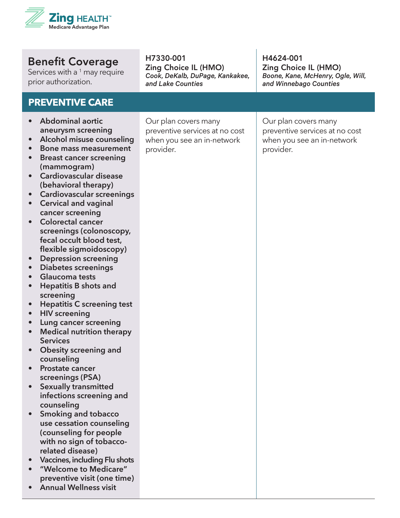

Services with a  $^1$  may require prior authorization.

#### **PREVENTIVE CARE**

#### **• Abdominal aortic aneurysm screening**

- **• Alcohol misuse counseling**
- **• Bone mass measurement**
- **• Breast cancer screening (mammogram)**
- **• Cardiovascular disease (behavioral therapy)**
- **• Cardiovascular screenings**
- **• Cervical and vaginal cancer screening**
- **• Colorectal cancer screenings (colonoscopy, fecal occult blood test, flexible sigmoidoscopy)**
- **• Depression screening**
- **• Diabetes screenings**
- **• Glaucoma tests**
- **• Hepatitis B shots and screening**
- **• Hepatitis C screening test**
- **• HIV screening**
- **• Lung cancer screening**
- **• Medical nutrition therapy Services**
- **• Obesity screening and counseling**
- **• Prostate cancer screenings (PSA)**
- **• Sexually transmitted infections screening and counseling**
- **• Smoking and tobacco use cessation counseling (counseling for people with no sign of tobaccorelated disease)**
- **• Vaccines, including Flu shots**
- **• "Welcome to Medicare" preventive visit (one time)**
- **• Annual Wellness visit**

H7330-001 Zing Choice IL (HMO) *Cook, DeKalb, DuPage, Kankakee, and Lake Counties*

H4624-001 Zing Choice IL (HMO) *Boone, Kane, McHenry, Ogle, Will, and Winnebago Counties*

Our plan covers many preventive services at no cost when you see an in-network provider.

Our plan covers many preventive services at no cost when you see an in-network provider.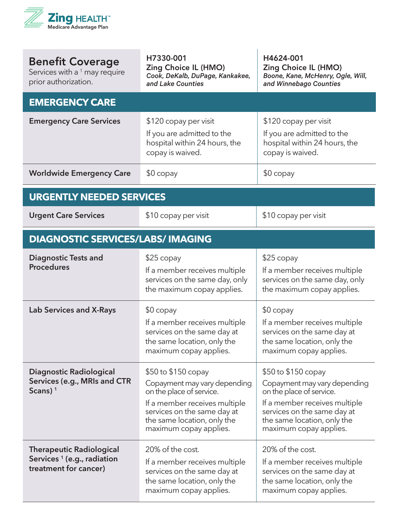

| <b>Benefit Coverage</b><br>Services with a <sup>1</sup> may require<br>prior authorization.        | H7330-001<br><b>Zing Choice IL (HMO)</b><br>Cook, DeKalb, DuPage, Kankakee,<br>and Lake Counties                                                                                                         | H4624-001<br>Zing Choice IL (HMO)<br>Boone, Kane, McHenry, Ogle, Will,<br>and Winnebago Counties                                                                                                         |  |
|----------------------------------------------------------------------------------------------------|----------------------------------------------------------------------------------------------------------------------------------------------------------------------------------------------------------|----------------------------------------------------------------------------------------------------------------------------------------------------------------------------------------------------------|--|
| <b>EMERGENCY CARE</b>                                                                              |                                                                                                                                                                                                          |                                                                                                                                                                                                          |  |
| <b>Emergency Care Services</b>                                                                     | \$120 copay per visit<br>If you are admitted to the<br>hospital within 24 hours, the<br>copay is waived.                                                                                                 | \$120 copay per visit<br>If you are admitted to the<br>hospital within 24 hours, the<br>copay is waived.                                                                                                 |  |
| <b>Worldwide Emergency Care</b>                                                                    | $$0$ copay                                                                                                                                                                                               | $$0$ copay                                                                                                                                                                                               |  |
| <b>URGENTLY NEEDED SERVICES</b>                                                                    |                                                                                                                                                                                                          |                                                                                                                                                                                                          |  |
| <b>Urgent Care Services</b>                                                                        | \$10 copay per visit                                                                                                                                                                                     | \$10 copay per visit                                                                                                                                                                                     |  |
| <b>DIAGNOSTIC SERVICES/LABS/ IMAGING</b>                                                           |                                                                                                                                                                                                          |                                                                                                                                                                                                          |  |
| <b>Diagnostic Tests and</b><br><b>Procedures</b>                                                   | $$25$ copay<br>If a member receives multiple<br>services on the same day, only<br>the maximum copay applies.                                                                                             | $$25$ copay<br>If a member receives multiple<br>services on the same day, only<br>the maximum copay applies.                                                                                             |  |
| <b>Lab Services and X-Rays</b>                                                                     | $$0$ copay<br>If a member receives multiple<br>services on the same day at<br>the same location, only the<br>maximum copay applies.                                                                      | $$0$ copay<br>If a member receives multiple<br>services on the same day at<br>the same location, only the<br>maximum copay applies.                                                                      |  |
| Diagnostic Radiological<br>Services (e.g., MRIs and CTR<br>Scans) $1$                              | \$50 to \$150 copay<br>Copayment may vary depending<br>on the place of service.<br>If a member receives multiple<br>services on the same day at<br>the same location, only the<br>maximum copay applies. | \$50 to \$150 copay<br>Copayment may vary depending<br>on the place of service.<br>If a member receives multiple<br>services on the same day at<br>the same location, only the<br>maximum copay applies. |  |
| <b>Therapeutic Radiological</b><br>Services <sup>1</sup> (e.g., radiation<br>treatment for cancer) | 20% of the cost.<br>If a member receives multiple<br>services on the same day at<br>the same location, only the<br>maximum copay applies.                                                                | 20% of the cost.<br>If a member receives multiple<br>services on the same day at<br>the same location, only the<br>maximum copay applies.                                                                |  |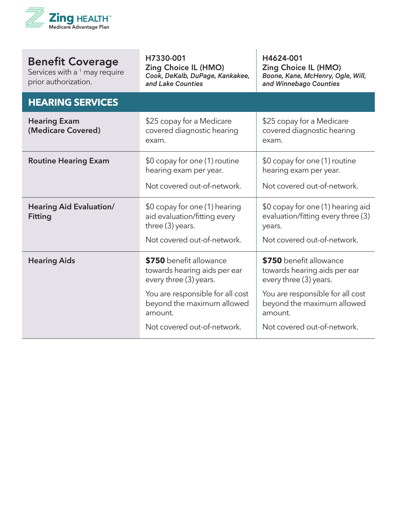

| <b>Benefit Coverage</b><br>Services with a <sup>1</sup> may require<br>prior authorization. | H7330-001<br><b>Zing Choice IL (HMO)</b><br>Cook, DeKalb, DuPage, Kankakee,<br>and Lake Counties                                                                                              | H4624-001<br><b>Zing Choice IL (HMO)</b><br>Boone, Kane, McHenry, Ogle, Will,<br>and Winnebago Counties                                                                                       |  |
|---------------------------------------------------------------------------------------------|-----------------------------------------------------------------------------------------------------------------------------------------------------------------------------------------------|-----------------------------------------------------------------------------------------------------------------------------------------------------------------------------------------------|--|
| <b>HEARING SERVICES</b>                                                                     |                                                                                                                                                                                               |                                                                                                                                                                                               |  |
| <b>Hearing Exam</b><br>(Medicare Covered)                                                   | \$25 copay for a Medicare<br>covered diagnostic hearing<br>exam.                                                                                                                              | \$25 copay for a Medicare<br>covered diagnostic hearing<br>exam.                                                                                                                              |  |
| <b>Routine Hearing Exam</b>                                                                 | \$0 copay for one (1) routine<br>hearing exam per year.<br>Not covered out-of-network.                                                                                                        | \$0 copay for one (1) routine<br>hearing exam per year.<br>Not covered out-of-network.                                                                                                        |  |
| <b>Hearing Aid Evaluation/</b><br><b>Fitting</b>                                            | \$0 copay for one (1) hearing<br>aid evaluation/fitting every<br>three (3) years.<br>Not covered out-of-network.                                                                              | \$0 copay for one (1) hearing aid<br>evaluation/fitting every three (3)<br>years.<br>Not covered out-of-network.                                                                              |  |
| <b>Hearing Aids</b>                                                                         | \$750 benefit allowance<br>towards hearing aids per ear<br>every three (3) years.<br>You are responsible for all cost<br>beyond the maximum allowed<br>amount.<br>Not covered out-of-network. | \$750 benefit allowance<br>towards hearing aids per ear<br>every three (3) years.<br>You are responsible for all cost<br>beyond the maximum allowed<br>amount.<br>Not covered out-of-network. |  |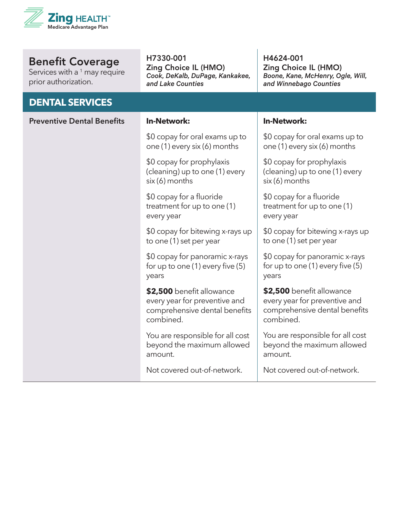

Services with a  $1$  may require prior authorization.

#### **DENTAL SERVICES**

H7330-001

Zing Choice IL (HMO) *Cook, DeKalb, DuPage, Kankakee, and Lake Counties*

H4624-001 Zing Choice IL (HMO) *Boone, Kane, McHenry, Ogle, Will, and Winnebago Counties*

| <b>Preventive Dental Benefits</b> | <b>In-Network:</b>                                                                                       | <b>In-Network:</b>                                                                                       |
|-----------------------------------|----------------------------------------------------------------------------------------------------------|----------------------------------------------------------------------------------------------------------|
|                                   | \$0 copay for oral exams up to<br>one (1) every six (6) months                                           | \$0 copay for oral exams up to<br>one (1) every six (6) months                                           |
|                                   | \$0 copay for prophylaxis<br>(cleaning) up to one (1) every<br>six (6) months                            | \$0 copay for prophylaxis<br>(cleaning) up to one (1) every<br>six (6) months                            |
|                                   | \$0 copay for a fluoride<br>treatment for up to one (1)<br>every year                                    | \$0 copay for a fluoride<br>treatment for up to one (1)<br>every year                                    |
|                                   | \$0 copay for bitewing x-rays up<br>to one (1) set per year                                              | \$0 copay for bitewing x-rays up<br>to one (1) set per year                                              |
|                                   | \$0 copay for panoramic x-rays<br>for up to one $(1)$ every five $(5)$<br>years                          | \$0 copay for panoramic x-rays<br>for up to one (1) every five (5)<br>years                              |
|                                   | \$2,500 benefit allowance<br>every year for preventive and<br>comprehensive dental benefits<br>combined. | \$2,500 benefit allowance<br>every year for preventive and<br>comprehensive dental benefits<br>combined. |
|                                   | You are responsible for all cost<br>beyond the maximum allowed<br>amount.                                | You are responsible for all cost<br>beyond the maximum allowed<br>amount.                                |
|                                   | Not covered out-of-network.                                                                              | Not covered out-of-network.                                                                              |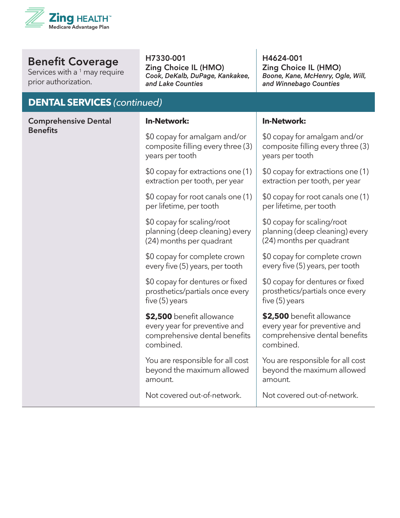

Services with a  $^1$  may require prior authorization.

#### H7330-001

Zing Choice IL (HMO) *Cook, DeKalb, DuPage, Kankakee, and Lake Counties*

H4624-001 Zing Choice IL (HMO) *Boone, Kane, McHenry, Ogle, Will, and Winnebago Counties*

| <b>DENTAL SERVICES (continued)</b> |                                                                                                          |                                                                                                          |  |
|------------------------------------|----------------------------------------------------------------------------------------------------------|----------------------------------------------------------------------------------------------------------|--|
| <b>Comprehensive Dental</b>        | <b>In-Network:</b>                                                                                       | <b>In-Network:</b>                                                                                       |  |
| <b>Benefits</b>                    | \$0 copay for amalgam and/or<br>composite filling every three (3)<br>years per tooth                     | \$0 copay for amalgam and/or<br>composite filling every three (3)<br>years per tooth                     |  |
|                                    | \$0 copay for extractions one (1)<br>extraction per tooth, per year                                      | \$0 copay for extractions one (1)<br>extraction per tooth, per year                                      |  |
|                                    | \$0 copay for root canals one (1)<br>per lifetime, per tooth                                             | \$0 copay for root canals one (1)<br>per lifetime, per tooth                                             |  |
|                                    | \$0 copay for scaling/root<br>planning (deep cleaning) every<br>(24) months per quadrant                 | \$0 copay for scaling/root<br>planning (deep cleaning) every<br>(24) months per quadrant                 |  |
|                                    | \$0 copay for complete crown<br>every five (5) years, per tooth                                          | \$0 copay for complete crown<br>every five (5) years, per tooth                                          |  |
|                                    | \$0 copay for dentures or fixed<br>prosthetics/partials once every<br>five $(5)$ years                   | \$0 copay for dentures or fixed<br>prosthetics/partials once every<br>five $(5)$ years                   |  |
|                                    | \$2,500 benefit allowance<br>every year for preventive and<br>comprehensive dental benefits<br>combined. | \$2,500 benefit allowance<br>every year for preventive and<br>comprehensive dental benefits<br>combined. |  |
|                                    | You are responsible for all cost<br>beyond the maximum allowed<br>amount.                                | You are responsible for all cost<br>beyond the maximum allowed<br>amount.                                |  |
|                                    | Not covered out-of-network.                                                                              | Not covered out-of-network.                                                                              |  |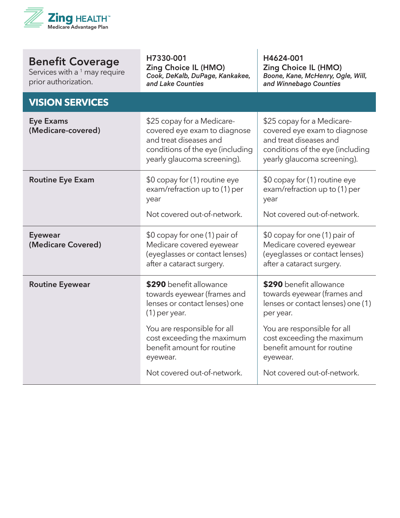

| <b>Benefit Coverage</b><br>Services with a <sup>1</sup> may require<br>prior authorization. | H7330-001<br><b>Zing Choice IL (HMO)</b><br>Cook, DeKalb, DuPage, Kankakee,<br>and Lake Counties                                                        | H4624-001<br><b>Zing Choice IL (HMO)</b><br>Boone, Kane, McHenry, Ogle, Will,<br>and Winnebago Counties                                                 |  |
|---------------------------------------------------------------------------------------------|---------------------------------------------------------------------------------------------------------------------------------------------------------|---------------------------------------------------------------------------------------------------------------------------------------------------------|--|
| <b>VISION SERVICES</b>                                                                      |                                                                                                                                                         |                                                                                                                                                         |  |
| <b>Eye Exams</b><br>(Medicare-covered)                                                      | \$25 copay for a Medicare-<br>covered eye exam to diagnose<br>and treat diseases and<br>conditions of the eye (including<br>yearly glaucoma screening). | \$25 copay for a Medicare-<br>covered eye exam to diagnose<br>and treat diseases and<br>conditions of the eye (including<br>yearly glaucoma screening). |  |
| <b>Routine Eye Exam</b>                                                                     | \$0 copay for (1) routine eye<br>exam/refraction up to (1) per<br>year<br>Not covered out-of-network.                                                   | \$0 copay for (1) routine eye<br>exam/refraction up to (1) per<br>year<br>Not covered out-of-network.                                                   |  |
|                                                                                             |                                                                                                                                                         |                                                                                                                                                         |  |
| <b>Eyewear</b><br>(Medicare Covered)                                                        | \$0 copay for one (1) pair of<br>Medicare covered eyewear<br>(eyeglasses or contact lenses)<br>after a cataract surgery.                                | \$0 copay for one (1) pair of<br>Medicare covered eyewear<br>(eyeglasses or contact lenses)<br>after a cataract surgery.                                |  |
| <b>Routine Eyewear</b>                                                                      | \$290 benefit allowance<br>towards eyewear (frames and<br>lenses or contact lenses) one<br>$(1)$ per year.                                              | \$290 benefit allowance<br>towards eyewear (frames and<br>lenses or contact lenses) one (1)<br>per year.                                                |  |
|                                                                                             | You are responsible for all<br>cost exceeding the maximum<br>benefit amount for routine<br>eyewear.                                                     | You are responsible for all<br>cost exceeding the maximum<br>benefit amount for routine<br>eyewear.                                                     |  |
|                                                                                             | Not covered out-of-network.                                                                                                                             | Not covered out-of-network.                                                                                                                             |  |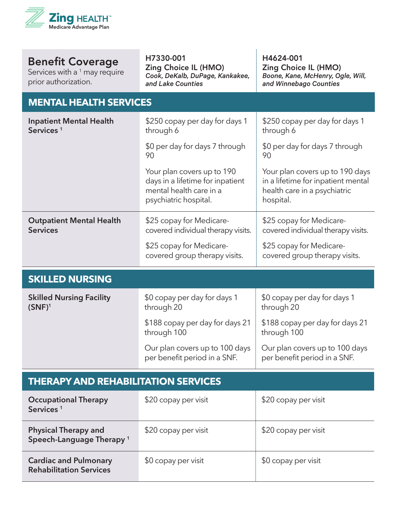

Services with a  $^1$  may require prior authorization.

H7330-001 Zing Choice IL (HMO) *Cook, DeKalb, DuPage, Kankakee, and Lake Counties*

H4624-001 Zing Choice IL (HMO) *Boone, Kane, McHenry, Ogle, Will, and Winnebago Counties*

#### **MENTAL HEALTH SERVICES**

| <b>Inpatient Mental Health</b><br>Services <sup>1</sup> | \$250 copay per day for days 1<br>through 6                                                                        | \$250 copay per day for days 1<br>through 6                                                                        |  |
|---------------------------------------------------------|--------------------------------------------------------------------------------------------------------------------|--------------------------------------------------------------------------------------------------------------------|--|
|                                                         | \$0 per day for days 7 through<br>90                                                                               | \$0 per day for days 7 through<br>90                                                                               |  |
|                                                         | Your plan covers up to 190<br>days in a lifetime for inpatient<br>mental health care in a<br>psychiatric hospital. | Your plan covers up to 190 days<br>in a lifetime for inpatient mental<br>health care in a psychiatric<br>hospital. |  |
| <b>Outpatient Mental Health</b><br><b>Services</b>      | \$25 copay for Medicare-<br>covered individual therapy visits.                                                     | \$25 copay for Medicare-<br>covered individual therapy visits.                                                     |  |
|                                                         | \$25 copay for Medicare-<br>covered group therapy visits.                                                          | \$25 copay for Medicare-<br>covered group therapy visits.                                                          |  |
| <b>SKILLED NURSING</b>                                  |                                                                                                                    |                                                                                                                    |  |
| <b>Skilled Nursing Facility</b><br>$(SNF)^1$            | \$0 copay per day for days 1<br>through 20                                                                         | \$0 copay per day for days 1<br>through 20                                                                         |  |
|                                                         | \$188 copay per day for days 21<br>through 100                                                                     | \$188 copay per day for days 21<br>through 100                                                                     |  |

Our plan covers up to 100 days per benefit period in a SNF. Our plan covers up to 100 days per benefit period in a SNF.

#### **THERAPY AND REHABILITATION SERVICES**

| <b>Occupational Therapy</b><br>Services <sup>1</sup>                | \$20 copay per visit | \$20 copay per visit |
|---------------------------------------------------------------------|----------------------|----------------------|
| <b>Physical Therapy and</b><br>Speech-Language Therapy <sup>1</sup> | \$20 copay per visit | \$20 copay per visit |
| <b>Cardiac and Pulmonary</b><br><b>Rehabilitation Services</b>      | \$0 copay per visit  | \$0 copay per visit  |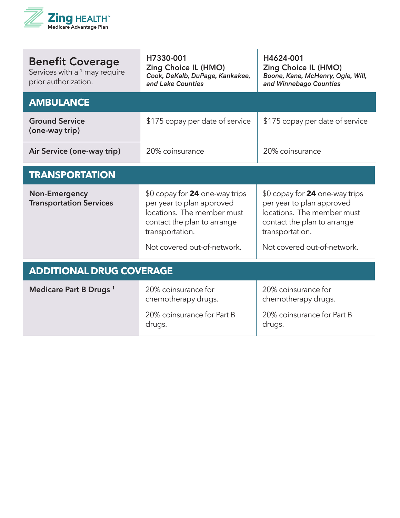

| <b>Benefit Coverage</b><br>Services with a $1$ may require<br>prior authorization. | H7330-001<br><b>Zing Choice IL (HMO)</b><br>Cook, DeKalb, DuPage, Kankakee,<br>and Lake Counties                                                                           | H4624-001<br><b>Zing Choice IL (HMO)</b><br>Boone, Kane, McHenry, Ogle, Will,<br>and Winnebago Counties                                                                    |  |
|------------------------------------------------------------------------------------|----------------------------------------------------------------------------------------------------------------------------------------------------------------------------|----------------------------------------------------------------------------------------------------------------------------------------------------------------------------|--|
| <b>AMBULANCE</b>                                                                   |                                                                                                                                                                            |                                                                                                                                                                            |  |
| <b>Ground Service</b><br>(one-way trip)                                            | \$175 copay per date of service                                                                                                                                            | \$175 copay per date of service                                                                                                                                            |  |
| Air Service (one-way trip)                                                         | 20% coinsurance                                                                                                                                                            | 20% coinsurance                                                                                                                                                            |  |
| <b>TRANSPORTATION</b>                                                              |                                                                                                                                                                            |                                                                                                                                                                            |  |
| <b>Non-Emergency</b><br><b>Transportation Services</b>                             | \$0 copay for 24 one-way trips<br>per year to plan approved<br>locations. The member must<br>contact the plan to arrange<br>transportation.<br>Not covered out-of-network. | \$0 copay for 24 one-way trips<br>per year to plan approved<br>locations. The member must<br>contact the plan to arrange<br>transportation.<br>Not covered out-of-network. |  |
|                                                                                    |                                                                                                                                                                            |                                                                                                                                                                            |  |
| <b>ADDITIONAL DRUG COVERAGE</b>                                                    |                                                                                                                                                                            |                                                                                                                                                                            |  |
| Medicare Part B Drugs <sup>1</sup>                                                 | 20% coinsurance for<br>chemotherapy drugs.                                                                                                                                 | 20% coinsurance for<br>chemotherapy drugs.                                                                                                                                 |  |
|                                                                                    | 20% coinsurance for Part B<br>drugs.                                                                                                                                       | 20% coinsurance for Part B<br>drugs.                                                                                                                                       |  |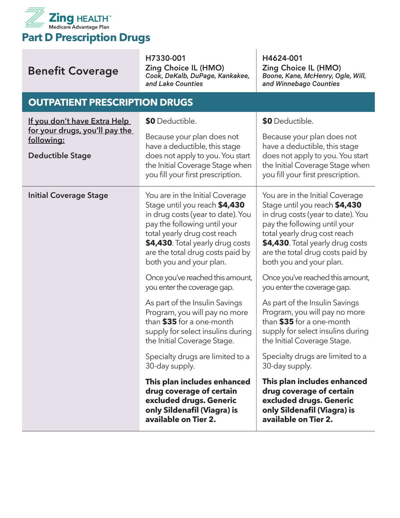

| <b>Benefit Coverage</b>                                                                                 | H7330-001<br><b>Zing Choice IL (HMO)</b><br>Cook, DeKalb, DuPage, Kankakee,<br>and Lake Counties                                                                                                                                                                                                                                                                                         | H4624-001<br><b>Zing Choice IL (HMO)</b><br>Boone, Kane, McHenry, Ogle, Will,<br>and Winnebago Counties                                                                                                                                                                  |
|---------------------------------------------------------------------------------------------------------|------------------------------------------------------------------------------------------------------------------------------------------------------------------------------------------------------------------------------------------------------------------------------------------------------------------------------------------------------------------------------------------|--------------------------------------------------------------------------------------------------------------------------------------------------------------------------------------------------------------------------------------------------------------------------|
| <b>OUTPATIENT PRESCRIPTION DRUGS</b>                                                                    |                                                                                                                                                                                                                                                                                                                                                                                          |                                                                                                                                                                                                                                                                          |
| If you don't have Extra Help<br>for your drugs, you'll pay the<br>following:<br><b>Deductible Stage</b> | \$0 Deductible.<br>\$0 Deductible.<br>Because your plan does not<br>Because your plan does not<br>have a deductible, this stage<br>have a deductible, this stage<br>does not apply to you. You start<br>does not apply to you. You start<br>the Initial Coverage Stage when<br>the Initial Coverage Stage when<br>you fill your first prescription.<br>you fill your first prescription. |                                                                                                                                                                                                                                                                          |
| <b>Initial Coverage Stage</b>                                                                           | You are in the Initial Coverage<br>Stage until you reach \$4,430<br>in drug costs (year to date). You<br>pay the following until your<br>total yearly drug cost reach<br>\$4,430. Total yearly drug costs<br>are the total drug costs paid by<br>both you and your plan.                                                                                                                 | You are in the Initial Coverage<br>Stage until you reach \$4,430<br>in drug costs (year to date). You<br>pay the following until your<br>total yearly drug cost reach<br>\$4,430. Total yearly drug costs<br>are the total drug costs paid by<br>both you and your plan. |
|                                                                                                         | Once you've reached this amount,<br>you enter the coverage gap.                                                                                                                                                                                                                                                                                                                          | Once you've reached this amount,<br>you enter the coverage gap.                                                                                                                                                                                                          |
|                                                                                                         | As part of the Insulin Savings<br>Program, you will pay no more<br>than \$35 for a one-month<br>supply for select insulins during<br>the Initial Coverage Stage.                                                                                                                                                                                                                         | As part of the Insulin Savings<br>Program, you will pay no more<br>than \$35 for a one-month<br>supply for select insulins during<br>the Initial Coverage Stage.                                                                                                         |
|                                                                                                         | Specialty drugs are limited to a<br>30-day supply.                                                                                                                                                                                                                                                                                                                                       | Specialty drugs are limited to a<br>30-day supply.                                                                                                                                                                                                                       |
|                                                                                                         | This plan includes enhanced<br>drug coverage of certain<br>excluded drugs. Generic<br>only Sildenafil (Viagra) is<br>available on Tier 2.                                                                                                                                                                                                                                                | This plan includes enhanced<br>drug coverage of certain<br>excluded drugs. Generic<br>only Sildenafil (Viagra) is<br>available on Tier 2.                                                                                                                                |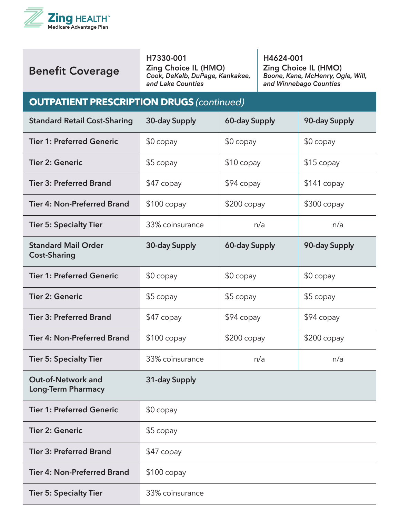

#### H7330-001

Zing Choice IL (HMO) *Cook, DeKalb, DuPage, Kankakee, and Lake Counties*

H4624-001 Zing Choice IL (HMO) *Boone, Kane, McHenry, Ogle, Will, and Winnebago Counties*

#### **OUTPATIENT PRESCRIPTION DRUGS (continued)**

| <b>Standard Retail Cost-Sharing</b>                    | 30-day Supply   | 60-day Supply | 90-day Supply |
|--------------------------------------------------------|-----------------|---------------|---------------|
| <b>Tier 1: Preferred Generic</b>                       | $$0$ copay      | $$0$ copay    | $$0$ copay    |
| <b>Tier 2: Generic</b>                                 | \$5 copay       | $$10$ copay   | $$15$ copay   |
| <b>Tier 3: Preferred Brand</b>                         | \$47 copay      | \$94 copay    | \$141 copay   |
| <b>Tier 4: Non-Preferred Brand</b>                     | $$100$ copay    | $$200$ copay  | \$300 copay   |
| <b>Tier 5: Specialty Tier</b>                          | 33% coinsurance | n/a           | n/a           |
| <b>Standard Mail Order</b><br><b>Cost-Sharing</b>      | 30-day Supply   | 60-day Supply | 90-day Supply |
| <b>Tier 1: Preferred Generic</b>                       | $$0$ copay      | $$0$ copay    | $$0$ copay    |
| <b>Tier 2: Generic</b>                                 | $$5$ copay      | \$5 copay     | \$5 copay     |
| <b>Tier 3: Preferred Brand</b>                         | \$47 copay      | $$94$ copay   | \$94 copay    |
| <b>Tier 4: Non-Preferred Brand</b>                     | $$100$ copay    | $$200$ copay  | $$200$ copay  |
| <b>Tier 5: Specialty Tier</b>                          | 33% coinsurance | n/a           | n/a           |
| <b>Out-of-Network and</b><br><b>Long-Term Pharmacy</b> | 31-day Supply   |               |               |
| <b>Tier 1: Preferred Generic</b>                       | $$0$ copay      |               |               |
| <b>Tier 2: Generic</b>                                 | \$5 copay       |               |               |
| <b>Tier 3: Preferred Brand</b>                         | $$47$ copay     |               |               |
| <b>Tier 4: Non-Preferred Brand</b>                     | $$100$ copay    |               |               |
| <b>Tier 5: Specialty Tier</b>                          | 33% coinsurance |               |               |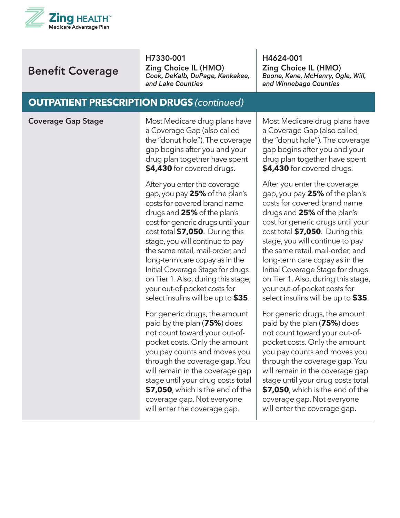

H7330-001

Zing Choice IL (HMO) *Cook, DeKalb, DuPage, Kankakee, and Lake Counties*

H4624-001 Zing Choice IL (HMO) *Boone, Kane, McHenry, Ogle, Will, and Winnebago Counties*

#### **OUTPATIENT PRESCRIPTION DRUGS** *(continued)*

**Coverage Gap Stage** Most Medicare drug plans have a Coverage Gap (also called the "donut hole"). The coverage gap begins after you and your drug plan together have spent **\$4,430** for covered drugs.

> After you enter the coverage gap, you pay **25%** of the plan's costs for covered brand name drugs and **25%** of the plan's cost for generic drugs until your cost total **\$7,050**. During this stage, you will continue to pay the same retail, mail-order, and long-term care copay as in the Initial Coverage Stage for drugs on Tier 1. Also, during this stage, your out-of-pocket costs for select insulins will be up to **\$35**.

For generic drugs, the amount paid by the plan (**75%**) does not count toward your out-ofpocket costs. Only the amount you pay counts and moves you through the coverage gap. You will remain in the coverage gap stage until your drug costs total **\$7,050**, which is the end of the coverage gap. Not everyone will enter the coverage gap.

Most Medicare drug plans have a Coverage Gap (also called the "donut hole"). The coverage gap begins after you and your drug plan together have spent **\$4,430** for covered drugs.

After you enter the coverage gap, you pay **25%** of the plan's costs for covered brand name drugs and **25%** of the plan's cost for generic drugs until your cost total **\$7,050**. During this stage, you will continue to pay the same retail, mail-order, and long-term care copay as in the Initial Coverage Stage for drugs on Tier 1. Also, during this stage, your out-of-pocket costs for select insulins will be up to **\$35**.

For generic drugs, the amount paid by the plan (**75%**) does not count toward your out-ofpocket costs. Only the amount you pay counts and moves you through the coverage gap. You will remain in the coverage gap stage until your drug costs total **\$7,050**, which is the end of the coverage gap. Not everyone will enter the coverage gap.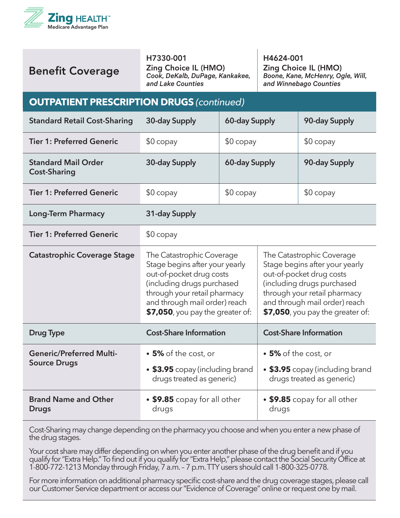

#### H7330-001

Zing Choice IL (HMO) *Cook, DeKalb, DuPage, Kankakee, and Lake Counties*

H4624-001 Zing Choice IL (HMO) *Boone, Kane, McHenry, Ogle, Will, and Winnebago Counties*

#### **OUTPATIENT PRESCRIPTION DRUGS** *(continued)*

| <b>Standard Retail Cost-Sharing</b>                    | 30-day Supply                                                                                                                                                                                                              | 60-day Supply |                                                                                                                                                                                                                              | 90-day Supply                 |
|--------------------------------------------------------|----------------------------------------------------------------------------------------------------------------------------------------------------------------------------------------------------------------------------|---------------|------------------------------------------------------------------------------------------------------------------------------------------------------------------------------------------------------------------------------|-------------------------------|
| <b>Tier 1: Preferred Generic</b>                       | $$0$ copay                                                                                                                                                                                                                 | $$0$ copay    |                                                                                                                                                                                                                              | $$0$ copay                    |
| <b>Standard Mail Order</b><br><b>Cost-Sharing</b>      | 30-day Supply                                                                                                                                                                                                              | 60-day Supply |                                                                                                                                                                                                                              | 90-day Supply                 |
| <b>Tier 1: Preferred Generic</b>                       | $$0$ copay                                                                                                                                                                                                                 | $$0$ copay    |                                                                                                                                                                                                                              | $$0$ copay                    |
| <b>Long-Term Pharmacy</b>                              | 31-day Supply                                                                                                                                                                                                              |               |                                                                                                                                                                                                                              |                               |
| <b>Tier 1: Preferred Generic</b>                       | $$0$ copay                                                                                                                                                                                                                 |               |                                                                                                                                                                                                                              |                               |
| <b>Catastrophic Coverage Stage</b>                     | The Catastrophic Coverage<br>Stage begins after your yearly<br>out-of-pocket drug costs<br>(including drugs purchased<br>through your retail pharmacy<br>and through mail order) reach<br>\$7,050, you pay the greater of: |               | The Catastrophic Coverage<br>Stage begins after your yearly<br>out-of-pocket drug costs<br>(including drugs purchased<br>through your retail pharmacy<br>and through mail order) reach<br>$$7,050$ , you pay the greater of: |                               |
| <b>Drug Type</b>                                       | <b>Cost-Share Information</b>                                                                                                                                                                                              |               |                                                                                                                                                                                                                              | <b>Cost-Share Information</b> |
| <b>Generic/Preferred Multi-</b><br><b>Source Drugs</b> | • 5% of the cost, or                                                                                                                                                                                                       |               | • 5% of the cost, or                                                                                                                                                                                                         |                               |
|                                                        | • \$3.95 copay (including brand<br>drugs treated as generic)                                                                                                                                                               |               | • \$3.95 copay (including brand<br>drugs treated as generic)                                                                                                                                                                 |                               |
| <b>Brand Name and Other</b><br><b>Drugs</b>            | • \$9.85 copay for all other<br>drugs                                                                                                                                                                                      |               | drugs                                                                                                                                                                                                                        | • \$9.85 copay for all other  |

Cost-Sharing may change depending on the pharmacy you choose and when you enter a new phase of the drug stages.

Your cost share may differ depending on when you enter another phase of the drug benefit and if you qualify for "Extra Help." To find out if you qualify for "Extra Help," please contact the Social Security Office at 1-800-772-1213 Monday through Friday, 7 a.m. – 7 p.m. TTY users should call 1-800-325-0778.

For more information on additional pharmacy specific cost-share and the drug coverage stages, please call our Customer Service department or access our "Evidence of Coverage" online or request one by mail.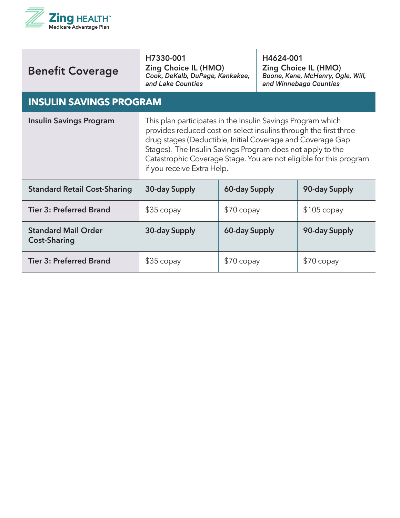

| <b>Benefit Coverage</b> |
|-------------------------|
|                         |

H7330-001 Zing Choice IL (HMO) *Cook, DeKalb, DuPage, Kankakee, and Lake Counties*

H4624-001 Zing Choice IL (HMO) *Boone, Kane, McHenry, Ogle, Will, and Winnebago Counties*

#### **INSULIN SAVINGS PROGRAM**

| <b>Insulin Savings Program</b>                    | This plan participates in the Insulin Savings Program which<br>provides reduced cost on select insulins through the first three<br>drug stages (Deductible, Initial Coverage and Coverage Gap<br>Stages). The Insulin Savings Program does not apply to the<br>Catastrophic Coverage Stage. You are not eligible for this program<br>if you receive Extra Help. |               |               |
|---------------------------------------------------|-----------------------------------------------------------------------------------------------------------------------------------------------------------------------------------------------------------------------------------------------------------------------------------------------------------------------------------------------------------------|---------------|---------------|
| <b>Standard Retail Cost-Sharing</b>               | 30-day Supply                                                                                                                                                                                                                                                                                                                                                   | 60-day Supply | 90-day Supply |
| <b>Tier 3: Preferred Brand</b>                    | $$35$ copay                                                                                                                                                                                                                                                                                                                                                     | $$70$ copay   | $$105$ copay  |
| <b>Standard Mail Order</b><br><b>Cost-Sharing</b> | 30-day Supply                                                                                                                                                                                                                                                                                                                                                   | 60-day Supply | 90-day Supply |
| <b>Tier 3: Preferred Brand</b>                    | $$35$ copay                                                                                                                                                                                                                                                                                                                                                     | $$70$ copay   | \$70 copay    |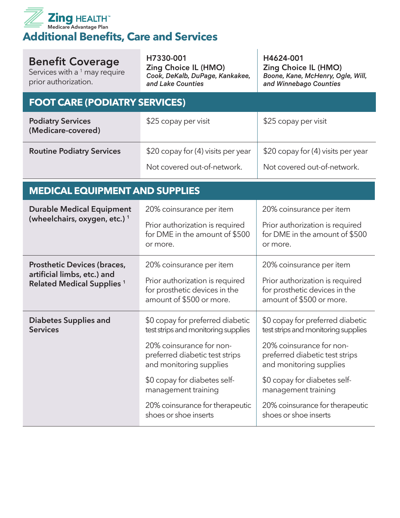

Services with a  $1$  may require prior authorization.

H7330-001 Zing Choice IL (HMO) *Cook, DeKalb, DuPage, Kankakee, and Lake Counties*

H4624-001 Zing Choice IL (HMO) *Boone, Kane, McHenry, Ogle, Will, and Winnebago Counties*

# **FOOT CARE (PODIATRY SERVICES)**

| <b>Podiatry Services</b><br>(Medicare-covered) | \$25 copay per visit               | \$25 copay per visit               |
|------------------------------------------------|------------------------------------|------------------------------------|
| <b>Routine Podiatry Services</b>               | \$20 copay for (4) visits per year | \$20 copay for (4) visits per year |
|                                                | Not covered out-of-network.        | Not covered out-of-network.        |

#### **MEDICAL EQUIPMENT AND SUPPLIES**

| <b>Durable Medical Equipment</b><br>(wheelchairs, oxygen, etc.) <sup>1</sup>                           | 20% coinsurance per item<br>Prior authorization is required<br>for DME in the amount of \$500<br>or more.                                                                                                                                                                           | 20% coinsurance per item<br>Prior authorization is required<br>for DME in the amount of \$500<br>or more.                                                                                                                                                                           |
|--------------------------------------------------------------------------------------------------------|-------------------------------------------------------------------------------------------------------------------------------------------------------------------------------------------------------------------------------------------------------------------------------------|-------------------------------------------------------------------------------------------------------------------------------------------------------------------------------------------------------------------------------------------------------------------------------------|
| <b>Prosthetic Devices (braces,</b><br>artificial limbs, etc.) and<br><b>Related Medical Supplies 1</b> | 20% coinsurance per item<br>Prior authorization is required<br>for prosthetic devices in the<br>amount of \$500 or more.                                                                                                                                                            | 20% coinsurance per item<br>Prior authorization is required<br>for prosthetic devices in the<br>amount of \$500 or more.                                                                                                                                                            |
| <b>Diabetes Supplies and</b><br><b>Services</b>                                                        | \$0 copay for preferred diabetic<br>test strips and monitoring supplies<br>20% coinsurance for non-<br>preferred diabetic test strips<br>and monitoring supplies<br>\$0 copay for diabetes self-<br>management training<br>20% coinsurance for therapeutic<br>shoes or shoe inserts | \$0 copay for preferred diabetic<br>test strips and monitoring supplies<br>20% coinsurance for non-<br>preferred diabetic test strips<br>and monitoring supplies<br>\$0 copay for diabetes self-<br>management training<br>20% coinsurance for therapeutic<br>shoes or shoe inserts |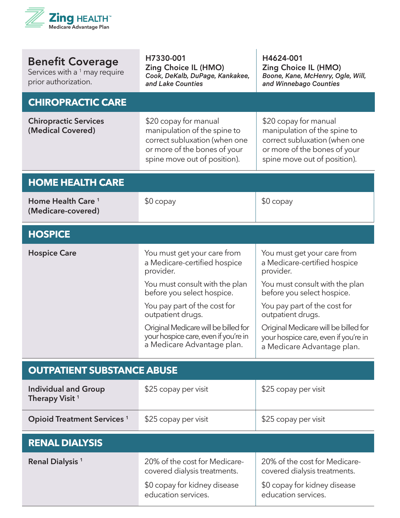

| <b>Benefit Coverage</b><br>Services with a <sup>1</sup> may require<br>prior authorization. | H7330-001<br>Zing Choice IL (HMO)<br>Cook, DeKalb, DuPage, Kankakee,<br>and Lake Counties                                                              | H4624-001<br><b>Zing Choice IL (HMO)</b><br>Boone, Kane, McHenry, Ogle, Will,<br>and Winnebago Counties                                                |
|---------------------------------------------------------------------------------------------|--------------------------------------------------------------------------------------------------------------------------------------------------------|--------------------------------------------------------------------------------------------------------------------------------------------------------|
| <b>CHIROPRACTIC CARE</b>                                                                    |                                                                                                                                                        |                                                                                                                                                        |
| <b>Chiropractic Services</b><br>(Medical Covered)                                           | \$20 copay for manual<br>manipulation of the spine to<br>correct subluxation (when one<br>or more of the bones of your<br>spine move out of position). | \$20 copay for manual<br>manipulation of the spine to<br>correct subluxation (when one<br>or more of the bones of your<br>spine move out of position). |
| <b>HOME HEALTH CARE</b>                                                                     |                                                                                                                                                        |                                                                                                                                                        |
| Home Health Care <sup>1</sup><br>(Medicare-covered)                                         | $$0$ copay                                                                                                                                             | $$0$ copay                                                                                                                                             |
| <b>HOSPICE</b>                                                                              |                                                                                                                                                        |                                                                                                                                                        |
| <b>Hospice Care</b>                                                                         | You must get your care from<br>a Medicare-certified hospice<br>provider.                                                                               | You must get your care from<br>a Medicare-certified hospice<br>provider.                                                                               |
|                                                                                             | You must consult with the plan<br>before you select hospice.                                                                                           | You must consult with the plan<br>before you select hospice.                                                                                           |
|                                                                                             | You pay part of the cost for<br>outpatient drugs.                                                                                                      | You pay part of the cost for<br>outpatient drugs.                                                                                                      |
|                                                                                             | Original Medicare will be billed for<br>your hospice care, even if you're in<br>a Medicare Advantage plan.                                             | Original Medicare will be billed for<br>your hospice care, even if you're in<br>a Medicare Advantage plan.                                             |
| <b>OUTPATIENT SUBSTANCE ABUSE</b>                                                           |                                                                                                                                                        |                                                                                                                                                        |
| <b>Individual and Group</b><br>Therapy Visit <sup>1</sup>                                   | \$25 copay per visit                                                                                                                                   | \$25 copay per visit                                                                                                                                   |
| <b>Opioid Treatment Services 1</b>                                                          | \$25 copay per visit                                                                                                                                   | \$25 copay per visit                                                                                                                                   |
| <b>RENAL DIALYSIS</b>                                                                       |                                                                                                                                                        |                                                                                                                                                        |
| Renal Dialysis <sup>1</sup>                                                                 | 20% of the cost for Medicare-<br>covered dialysis treatments.                                                                                          | 20% of the cost for Medicare-<br>covered dialysis treatments.                                                                                          |
|                                                                                             | \$0 copay for kidney disease<br>education services.                                                                                                    | \$0 copay for kidney disease<br>education services.                                                                                                    |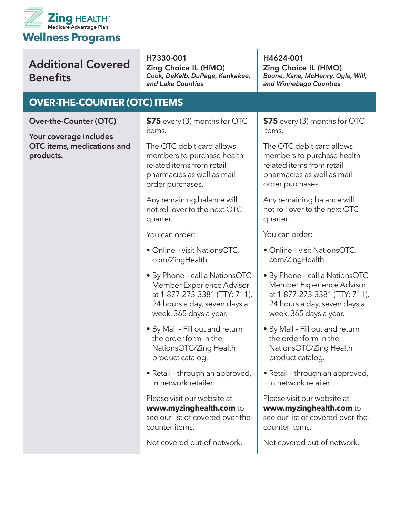

# Additional Covered **Benefits**

H7330-001 Zing Choice IL (HMO) *Cook, DeKalb, DuPage, Kankakee, and Lake Counties*

#### **OVER-THE-COUNTER (OTC) ITEMS**

**Over-the-Counter (OTC)**

**Your coverage includes OTC items, medications and products.** 

**\$75** every (3) months for OTC items.

The OTC debit card allows members to purchase health related items from retail pharmacies as well as mail order purchases.

Any remaining balance will not roll over to the next OTC quarter.

You can order:

- Online visit NationsOTC. com/ZingHealth
- By Phone call a NationsOTC Member Experience Advisor at 1-877-273-3381 (TTY: 711), 24 hours a day, seven days a week, 365 days a year.
- By Mail Fill out and return the order form in the NationsOTC/Zing Health product catalog.
- Retail through an approved, in network retailer

Please visit our website at **www.myzinghealth.com** to see our list of covered over-thecounter items.

Not covered out-of-network.

H4624-001 Zing Choice IL (HMO) *Boone, Kane, McHenry, Ogle, Will, and Winnebago Counties*

**\$75** every (3) months for OTC items.

The OTC debit card allows members to purchase health related items from retail pharmacies as well as mail order purchases.

Any remaining balance will not roll over to the next OTC quarter.

You can order:

- Online visit NationsOTC. com/ZingHealth
- By Phone call a NationsOTC Member Experience Advisor at 1-877-273-3381 (TTY: 711), 24 hours a day, seven days a week, 365 days a year.
- By Mail Fill out and return the order form in the NationsOTC/Zing Health product catalog.
- Retail through an approved, in network retailer

Please visit our website at **www.myzinghealth.com** to see our list of covered over-thecounter items.

Not covered out-of-network.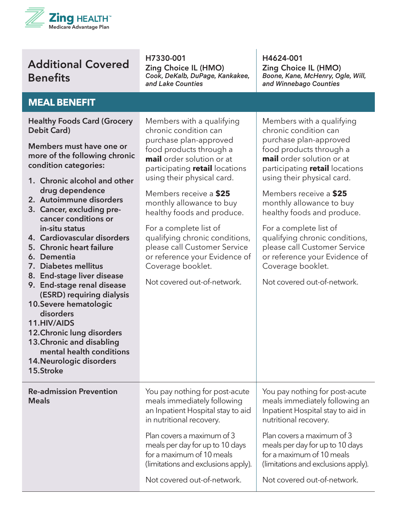

## Additional Covered **Benefits**

H7330-001 Zing Choice IL (HMO) *Cook, DeKalb, DuPage, Kankakee, and Lake Counties*

Members with a qualifying chronic condition can purchase plan-approved food products through a **mail** order solution or at participating **retail** locations H4624-001 Zing Choice IL (HMO) *Boone, Kane, McHenry, Ogle, Will, and Winnebago Counties*

Members with a qualifying chronic condition can purchase plan-approved food products through a **mail** order solution or at participating **retail** locations using their physical card.

Members receive a **\$25** monthly allowance to buy healthy foods and produce.

#### **MEAL BENEFIT**

**Healthy Foods Card (Grocery Debit Card)**

**Members must have one or more of the following chronic condition categories:**

- **1. Chronic alcohol and other drug dependence**
- **2. Autoimmune disorders**
- **3. Cancer, excluding precancer conditions or in-situ status**
- **4. Cardiovascular disorders**
- **5. Chronic heart failure**
- **6. Dementia**
- **7. Diabetes mellitus**
- **8. End-stage liver disease**
- **9. End-stage renal disease (ESRD) requiring dialysis**
- **10.Severe hematologic disorders**
- **11.HIV/AIDS**
- **12.Chronic lung disorders**
- **13.Chronic and disabling**

**Re-admission Prevention** 

- **mental health conditions**
- **14.Neurologic disorders**
- **15.Stroke**

**Meals**

using their physical card. Members receive a **\$25** monthly allowance to buy

healthy foods and produce. For a complete list of

qualifying chronic conditions, please call Customer Service or reference your Evidence of Coverage booklet.

Not covered out-of-network.

You pay nothing for post-acute meals immediately following an Inpatient Hospital stay to aid

in nutritional recovery.

Plan covers a maximum of 3 meals per day for up to 10 days for a maximum of 10 meals

(limitations and exclusions apply).

Not covered out-of-network.

For a complete list of qualifying chronic conditions, please call Customer Service or reference your Evidence of Coverage booklet. Not covered out-of-network.

Not covered out-of-network.

(limitations and exclusions apply).

Plan covers a maximum of 3 meals per day for up to 10 days for a maximum of 10 meals

You pay nothing for post-acute meals immediately following an Inpatient Hospital stay to aid in

nutritional recovery.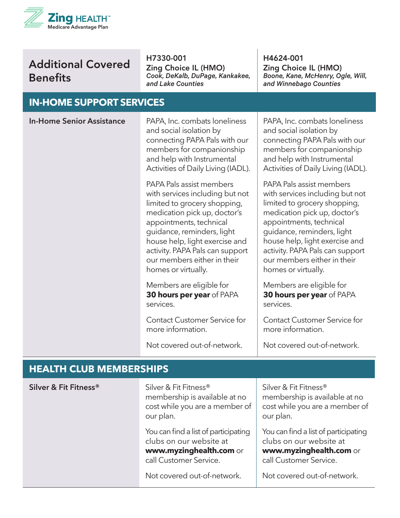

## Additional Covered **Benefits**

H7330-001

Zing Choice IL (HMO) *Cook, DeKalb, DuPage, Kankakee, and Lake Counties*

H4624-001 Zing Choice IL (HMO) *Boone, Kane, McHenry, Ogle, Will, and Winnebago Counties*

#### **CLIDDODT CEDVICES**

| IIN-NUIVIE JUFFUKI JEKVILEJ      |                                                                                                                                                                                                                                                                                                                 |                                                                                                                                                                                                                                                                                                                 |
|----------------------------------|-----------------------------------------------------------------------------------------------------------------------------------------------------------------------------------------------------------------------------------------------------------------------------------------------------------------|-----------------------------------------------------------------------------------------------------------------------------------------------------------------------------------------------------------------------------------------------------------------------------------------------------------------|
| <b>In-Home Senior Assistance</b> | PAPA, Inc. combats loneliness<br>and social isolation by<br>connecting PAPA Pals with our<br>members for companionship<br>and help with Instrumental<br>Activities of Daily Living (IADL).                                                                                                                      | PAPA, Inc. combats loneliness<br>and social isolation by<br>connecting PAPA Pals with our<br>members for companionship<br>and help with Instrumental<br>Activities of Daily Living (IADL).                                                                                                                      |
|                                  | PAPA Pals assist members<br>with services including but not<br>limited to grocery shopping,<br>medication pick up, doctor's<br>appointments, technical<br>guidance, reminders, light<br>house help, light exercise and<br>activity. PAPA Pals can support<br>our members either in their<br>homes or virtually. | PAPA Pals assist members<br>with services including but not<br>limited to grocery shopping,<br>medication pick up, doctor's<br>appointments, technical<br>guidance, reminders, light<br>house help, light exercise and<br>activity. PAPA Pals can support<br>our members either in their<br>homes or virtually. |
|                                  | Members are eligible for<br>30 hours per year of PAPA<br>services.                                                                                                                                                                                                                                              | Members are eligible for<br>30 hours per year of PAPA<br>services.                                                                                                                                                                                                                                              |
|                                  | <b>Contact Customer Service for</b><br>more information.                                                                                                                                                                                                                                                        | <b>Contact Customer Service for</b><br>more information.                                                                                                                                                                                                                                                        |
|                                  | Not covered out-of-network.                                                                                                                                                                                                                                                                                     | Not covered out-of-network.                                                                                                                                                                                                                                                                                     |
| <b>HEALTH CLUB MEMBERSHIPS</b>   |                                                                                                                                                                                                                                                                                                                 |                                                                                                                                                                                                                                                                                                                 |
| Silver & Fit Fitness®            | Silver & Fit Fitness®<br>membership is available at no<br>cost while you are a member of<br>our plan.                                                                                                                                                                                                           | Silver & Fit Fitness®<br>membership is available at no<br>cost while you are a member of<br>our plan.                                                                                                                                                                                                           |
|                                  | You can find a list of participating<br>clubs on our website at                                                                                                                                                                                                                                                 | You can find a list of participating<br>clubs on our website at                                                                                                                                                                                                                                                 |

**www.myzinghealth.com** or **www.myzinghealth.com** or call Customer Service.

Not covered out-of-network.

call Customer Service.

Not covered out-of-network.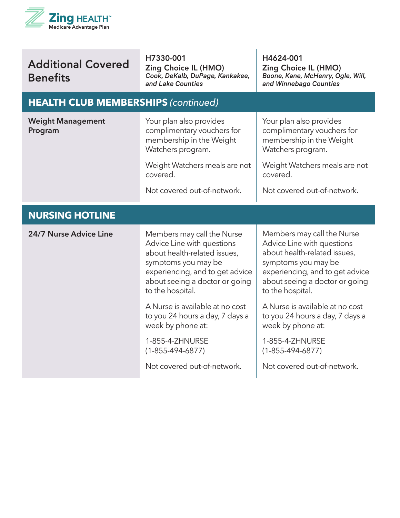

| <b>Additional Covered</b> |  |
|---------------------------|--|
| <b>Benefits</b>           |  |

H7330-001 Zing Choice IL (HMO) *Cook, DeKalb, DuPage, Kankakee, and Lake Counties*

H4624-001 Zing Choice IL (HMO) *Boone, Kane, McHenry, Ogle, Will, and Winnebago Counties*

#### **HEALTH CLUB MEMBERSHIPS** *(continued)*

| <b>Weight Management</b><br>Program | Your plan also provides<br>complimentary vouchers for<br>membership in the Weight<br>Watchers program.<br>Weight Watchers meals are not                                                                  | Your plan also provides<br>complimentary vouchers for<br>membership in the Weight<br>Watchers program.<br>Weight Watchers meals are not                                                                  |  |
|-------------------------------------|----------------------------------------------------------------------------------------------------------------------------------------------------------------------------------------------------------|----------------------------------------------------------------------------------------------------------------------------------------------------------------------------------------------------------|--|
|                                     | covered.<br>Not covered out-of-network.                                                                                                                                                                  | covered.<br>Not covered out-of-network.                                                                                                                                                                  |  |
|                                     |                                                                                                                                                                                                          |                                                                                                                                                                                                          |  |
| <b>NURSING HOTLINE</b>              |                                                                                                                                                                                                          |                                                                                                                                                                                                          |  |
| 24/7 Nurse Advice Line              | Members may call the Nurse<br>Advice Line with questions<br>about health-related issues,<br>symptoms you may be<br>experiencing, and to get advice<br>about seeing a doctor or going<br>to the hospital. | Members may call the Nurse<br>Advice Line with questions<br>about health-related issues,<br>symptoms you may be<br>experiencing, and to get advice<br>about seeing a doctor or going<br>to the hospital. |  |
|                                     | A Nurse is available at no cost<br>to you 24 hours a day, 7 days a<br>week by phone at:                                                                                                                  | A Nurse is available at no cost<br>to you 24 hours a day, 7 days a<br>week by phone at:                                                                                                                  |  |
|                                     | 1-855-4-ZHNURSE<br>$(1 - 855 - 494 - 6877)$                                                                                                                                                              | 1-855-4-ZHNURSE<br>$(1 - 855 - 494 - 6877)$                                                                                                                                                              |  |
|                                     | Not covered out-of-network.                                                                                                                                                                              | Not covered out-of-network.                                                                                                                                                                              |  |